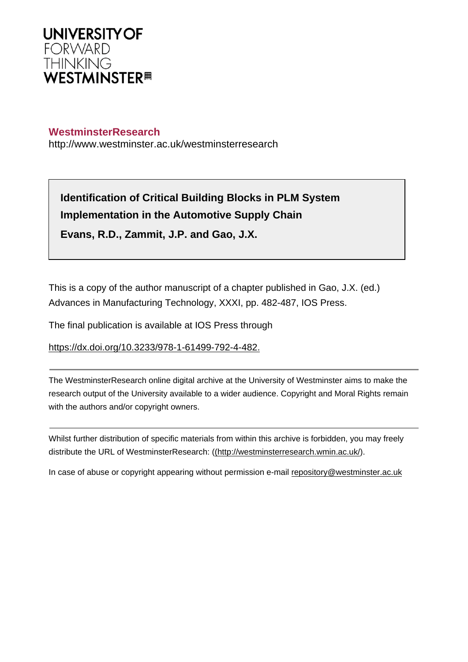

# **WestminsterResearch**

http://www.westminster.ac.uk/westminsterresearch

**Identification of Critical Building Blocks in PLM System Implementation in the Automotive Supply Chain Evans, R.D., Zammit, J.P. and Gao, J.X.**

This is a copy of the author manuscript of a chapter published in Gao, J.X. (ed.) Advances in Manufacturing Technology, XXXI, pp. 482-487, IOS Press.

The final publication is available at IOS Press through

<https://dx.doi.org/10.3233/978-1-61499-792-4-482.>

The WestminsterResearch online digital archive at the University of Westminster aims to make the research output of the University available to a wider audience. Copyright and Moral Rights remain with the authors and/or copyright owners.

Whilst further distribution of specific materials from within this archive is forbidden, you may freely distribute the URL of WestminsterResearch: [\(\(http://westminsterresearch.wmin.ac.uk/](http://westminsterresearch.wmin.ac.uk/)).

In case of abuse or copyright appearing without permission e-mail <repository@westminster.ac.uk>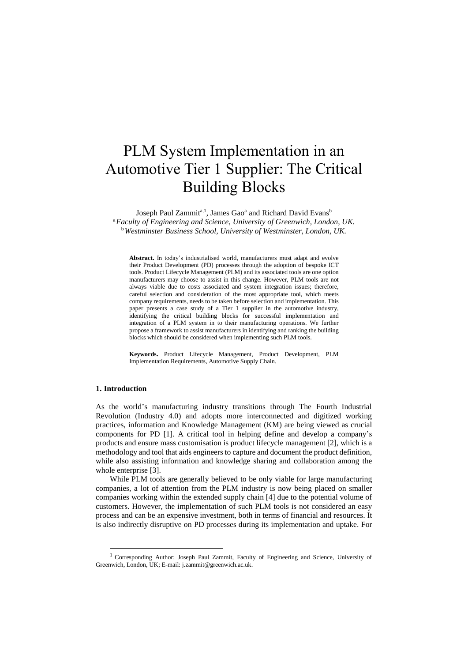# PLM System Implementation in an Automotive Tier 1 Supplier: The Critical Building Blocks

Joseph Paul Zammit<sup>a,1</sup>, James Gao<sup>a</sup> and Richard David Evans<sup>b</sup> <sup>a</sup>*Faculty of Engineering and Science, University of Greenwich, London, UK.* <sup>b</sup>*Westminster Business School, University of Westminster, London, UK.* 

**Abstract.** In today's industrialised world, manufacturers must adapt and evolve their Product Development (PD) processes through the adoption of bespoke ICT tools. Product Lifecycle Management (PLM) and its associated tools are one option manufacturers may choose to assist in this change. However, PLM tools are not always viable due to costs associated and system integration issues; therefore, careful selection and consideration of the most appropriate tool, which meets company requirements, needs to be taken before selection and implementation. This paper presents a case study of a Tier 1 supplier in the automotive industry, identifying the critical building blocks for successful implementation and integration of a PLM system in to their manufacturing operations. We further propose a framework to assist manufacturers in identifying and ranking the building blocks which should be considered when implementing such PLM tools.

**Keywords.** Product Lifecycle Management, Product Development, PLM Implementation Requirements, Automotive Supply Chain.

#### **1. Introduction**

-

As the world's manufacturing industry transitions through The Fourth Industrial Revolution (Industry 4.0) and adopts more interconnected and digitized working practices, information and Knowledge Management (KM) are being viewed as crucial components for PD [1]. A critical tool in helping define and develop a company's products and ensure mass customisation is product lifecycle management [2], which is a methodology and tool that aids engineers to capture and document the product definition, while also assisting information and knowledge sharing and collaboration among the whole enterprise [3].

While PLM tools are generally believed to be only viable for large manufacturing companies, a lot of attention from the PLM industry is now being placed on smaller companies working within the extended supply chain [4] due to the potential volume of customers. However, the implementation of such PLM tools is not considered an easy process and can be an expensive investment, both in terms of financial and resources. It is also indirectly disruptive on PD processes during its implementation and uptake. For

<sup>1</sup> Corresponding Author: Joseph Paul Zammit, Faculty of Engineering and Science, University of Greenwich, London, UK; E-mail: j.zammit@greenwich.ac.uk.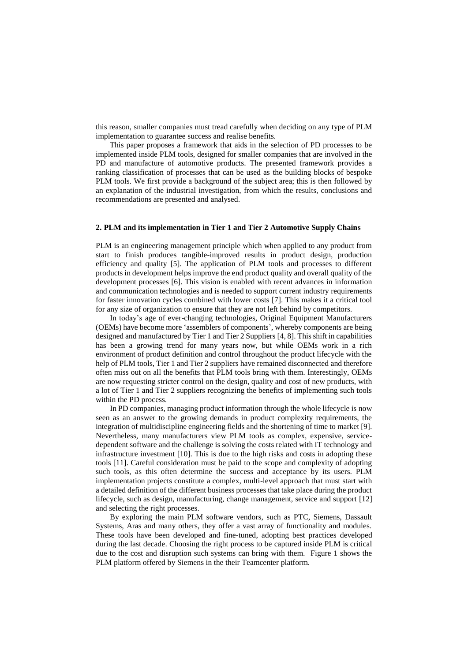this reason, smaller companies must tread carefully when deciding on any type of PLM implementation to guarantee success and realise benefits.

This paper proposes a framework that aids in the selection of PD processes to be implemented inside PLM tools, designed for smaller companies that are involved in the PD and manufacture of automotive products. The presented framework provides a ranking classification of processes that can be used as the building blocks of bespoke PLM tools. We first provide a background of the subject area; this is then followed by an explanation of the industrial investigation, from which the results, conclusions and recommendations are presented and analysed.

## **2. PLM and its implementation in Tier 1 and Tier 2 Automotive Supply Chains**

PLM is an engineering management principle which when applied to any product from start to finish produces tangible-improved results in product design, production efficiency and quality [5]. The application of PLM tools and processes to different products in development helps improve the end product quality and overall quality of the development processes [6]. This vision is enabled with recent advances in information and communication technologies and is needed to support current industry requirements for faster innovation cycles combined with lower costs [7]. This makes it a critical tool for any size of organization to ensure that they are not left behind by competitors.

In today's age of ever-changing technologies, Original Equipment Manufacturers (OEMs) have become more 'assemblers of components', whereby components are being designed and manufactured by Tier 1 and Tier 2 Suppliers [4, 8]. This shift in capabilities has been a growing trend for many years now, but while OEMs work in a rich environment of product definition and control throughout the product lifecycle with the help of PLM tools, Tier 1 and Tier 2 suppliers have remained disconnected and therefore often miss out on all the benefits that PLM tools bring with them. Interestingly, OEMs are now requesting stricter control on the design, quality and cost of new products, with a lot of Tier 1 and Tier 2 suppliers recognizing the benefits of implementing such tools within the PD process.

In PD companies, managing product information through the whole lifecycle is now seen as an answer to the growing demands in product complexity requirements, the integration of multidiscipline engineering fields and the shortening of time to market [9]. Nevertheless, many manufacturers view PLM tools as complex, expensive, servicedependent software and the challenge is solving the costs related with IT technology and infrastructure investment [10]. This is due to the high risks and costs in adopting these tools [11]. Careful consideration must be paid to the scope and complexity of adopting such tools, as this often determine the success and acceptance by its users. PLM implementation projects constitute a complex, multi-level approach that must start with a detailed definition of the different business processes that take place during the product lifecycle, such as design, manufacturing, change management, service and support [12] and selecting the right processes.

By exploring the main PLM software vendors, such as PTC, Siemens, Dassault Systems, Aras and many others, they offer a vast array of functionality and modules. These tools have been developed and fine-tuned, adopting best practices developed during the last decade. Choosing the right process to be captured inside PLM is critical due to the cost and disruption such systems can bring with them. Figure 1 shows the PLM platform offered by Siemens in the their Teamcenter platform.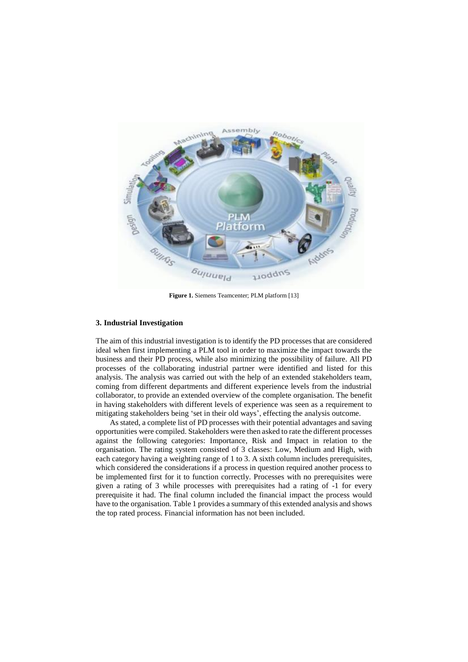

**Figure 1.** Siemens Teamcenter; PLM platform [13]

#### **3. Industrial Investigation**

The aim of this industrial investigation is to identify the PD processes that are considered ideal when first implementing a PLM tool in order to maximize the impact towards the business and their PD process, while also minimizing the possibility of failure. All PD processes of the collaborating industrial partner were identified and listed for this analysis. The analysis was carried out with the help of an extended stakeholders team, coming from different departments and different experience levels from the industrial collaborator, to provide an extended overview of the complete organisation. The benefit in having stakeholders with different levels of experience was seen as a requirement to mitigating stakeholders being 'set in their old ways', effecting the analysis outcome.

As stated, a complete list of PD processes with their potential advantages and saving opportunities were compiled. Stakeholders were then asked to rate the different processes against the following categories: Importance, Risk and Impact in relation to the organisation. The rating system consisted of 3 classes: Low, Medium and High, with each category having a weighting range of 1 to 3. A sixth column includes prerequisites, which considered the considerations if a process in question required another process to be implemented first for it to function correctly. Processes with no prerequisites were given a rating of 3 while processes with prerequisites had a rating of -1 for every prerequisite it had. The final column included the financial impact the process would have to the organisation. Table 1 provides a summary of this extended analysis and shows the top rated process. Financial information has not been included.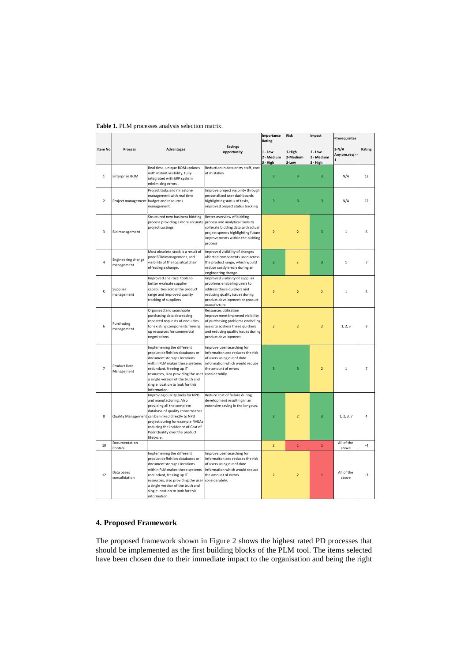### **Table 1.** PLM processes analysis selection matrix.

|                |                                  |                                                                                                                                                                                                                                                                                                           |                                                                                                                                                                                              | Importance<br>Rating                | <b>Risk</b>                 | Impact                              | <b>Prerequisites</b>     |                         |
|----------------|----------------------------------|-----------------------------------------------------------------------------------------------------------------------------------------------------------------------------------------------------------------------------------------------------------------------------------------------------------|----------------------------------------------------------------------------------------------------------------------------------------------------------------------------------------------|-------------------------------------|-----------------------------|-------------------------------------|--------------------------|-------------------------|
| <b>Item No</b> | <b>Process</b>                   | <b>Advantages</b>                                                                                                                                                                                                                                                                                         | <b>Savings</b><br>opportunity                                                                                                                                                                | $1 - Low$<br>2 - Medium<br>3 - High | 1-High<br>2-Medium<br>3-Low | $1 - Low$<br>2 - Medium<br>3 - High | $3-N/A$<br>Any pre.req = | Rating                  |
| $\mathbf 1$    | <b>Enterprise BOM</b>            | Real time, unique BOM updates<br>with instant visibility, fully<br>integrated with ERP system<br>minimizing errors.                                                                                                                                                                                       | Reduction in data entry staff, cost<br>of mistakes                                                                                                                                           | $\overline{\mathbf{3}}$             | $\overline{\mathbf{3}}$     | $\overline{\mathbf{3}}$             | N/A                      | 12                      |
| $\overline{2}$ |                                  | Project tasks and milestone<br>management with real time<br>Project management budget and resources<br>management.                                                                                                                                                                                        | Improve project visibility through<br>personalized user dashboards<br>highlighting status of tasks,<br>improved project status tracking                                                      | 3                                   | $\overline{3}$              | $\overline{\mathbf{3}}$             | N/A                      | 12                      |
| 3              | Bid management                   | Structured new business bidding<br>process providing a more accurate<br>project costings                                                                                                                                                                                                                  | Better overview of bidding<br>process and analytical tools to<br>collerate bidding data with actual<br>project spends highlighting future<br>improvements within the bidding<br>process      | $\overline{2}$                      | $\overline{2}$              | $\overline{3}$                      | $\mathbf{1}$             | 6                       |
| $\overline{4}$ | Engineering change<br>management | Most obsolete stock is a result of<br>poor BOM management, and<br>visibility of the logisitcal chain<br>effecting a change.                                                                                                                                                                               | Improved visibility of changes<br>affected components used across<br>the product range, which would<br>reduce costly errors during an<br>engineering change                                  | $\overline{3}$                      | $\overline{2}$              | 3                                   | $\mathbf{1}$             | $\overline{z}$          |
| 5              | Supplier<br>management           | Improved analitical tools to<br>better evaluate supplier<br>capabilities across the product<br>range and improved quality<br>tracking of suppliers                                                                                                                                                        | Improved visibility of supplier<br>problems enabeling users to<br>address these quickers and<br>reducing quality issues during<br>product development or product<br>manufacture              | $\overline{2}$                      | $\overline{2}$              | $\overline{2}$                      | $\mathbf{1}$             | 5                       |
| 6              | Purchasing<br>management         | Organized and searchable<br>purchasing data decreasing<br>repeated requests of enquiries<br>for existing components freeing<br>up resources for commercial<br>negotiations                                                                                                                                | Resources utilisation<br>improvement Improved visibility<br>of purchasing problems enabeling<br>users to address these quickers<br>and reducing quality issues during<br>product development | $\overline{2}$                      | $\overline{2}$              | $\overline{2}$                      | 1, 2, 3                  | $\overline{\mathbf{3}}$ |
| $\overline{7}$ | Product Data<br>Management       | Implemening the different<br>product definition databases or<br>document storages locations<br>within PLM makes these systems<br>redundant, freeing up IT<br>resources, alos providing the user considerabily.<br>a single version of the truth and<br>single location to look for this<br>information.   | Improve user searching for<br>informaiton and reduces the risk<br>of users using out of date<br>information which would reduce<br>the amount of errors                                       | 3                                   | 3                           | $\overline{2}$                      | $\mathbf{1}$             | $\overline{7}$          |
| 8              |                                  | Improving quality tools for NPD<br>and manufacturing. Also<br>providing all the complete<br>database of quality concerns that<br>Quality Management can be linked directly to NPD<br>project during for example FMEAs<br>reducing the incidence of Cost of<br>Poor Quality over the product<br>lifecycle. | Reduce cost of failure during<br>development resulting in an<br>extensive saving in the long run.                                                                                            | 3                                   | $\overline{2}$              | 3                                   | 1, 2, 3, 7               | 4                       |
| 10             | Documentation<br>Control         |                                                                                                                                                                                                                                                                                                           |                                                                                                                                                                                              | $\overline{2}$                      | $\mathbf{1}$                | $\overline{1}$                      | All of the<br>above      | $-4$                    |
| 12             | Data bases<br>consolidation      | Implemening the different<br>product definition databases or<br>document storages locations<br>within PLM makes these systems<br>redundant, freeing up IT<br>resources, also providing the user considerabily.<br>a single version of the truth and<br>single location to look for this<br>information.   | Improve user searching for<br>informaiton and reduces the risk<br>of users using out of date<br>information which would reduce<br>the amount of errors                                       | $\overline{2}$                      | $\overline{2}$              | $\overline{1}$                      | All of the<br>above      | $-3$                    |

# **4. Proposed Framework**

The proposed framework shown in Figure 2 shows the highest rated PD processes that should be implemented as the first building blocks of the PLM tool. The items selected have been chosen due to their immediate impact to the organisation and being the right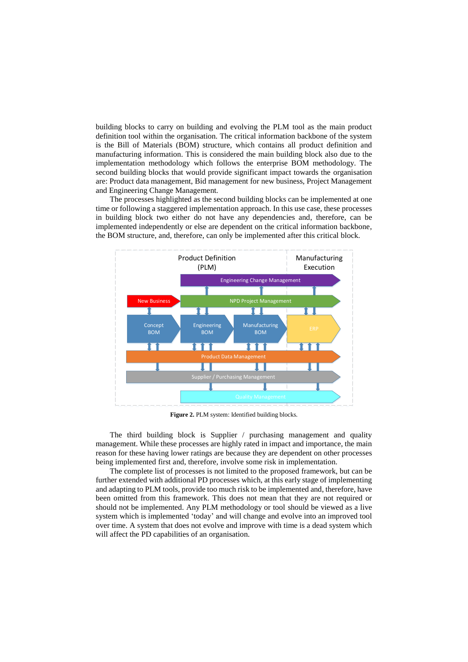building blocks to carry on building and evolving the PLM tool as the main product definition tool within the organisation. The critical information backbone of the system is the Bill of Materials (BOM) structure, which contains all product definition and manufacturing information. This is considered the main building block also due to the implementation methodology which follows the enterprise BOM methodology. The second building blocks that would provide significant impact towards the organisation are: Product data management, Bid management for new business, Project Management and Engineering Change Management.

The processes highlighted as the second building blocks can be implemented at one time or following a staggered implementation approach. In this use case, these processes in building block two either do not have any dependencies and, therefore, can be implemented independently or else are dependent on the critical information backbone, the BOM structure, and, therefore, can only be implemented after this critical block.



**Figure 2.** PLM system: Identified building blocks.

The third building block is Supplier / purchasing management and quality management. While these processes are highly rated in impact and importance, the main reason for these having lower ratings are because they are dependent on other processes being implemented first and, therefore, involve some risk in implementation.

The complete list of processes is not limited to the proposed framework, but can be further extended with additional PD processes which, at this early stage of implementing and adapting to PLM tools, provide too much risk to be implemented and, therefore, have been omitted from this framework. This does not mean that they are not required or should not be implemented. Any PLM methodology or tool should be viewed as a live system which is implemented 'today' and will change and evolve into an improved tool over time. A system that does not evolve and improve with time is a dead system which will affect the PD capabilities of an organisation.